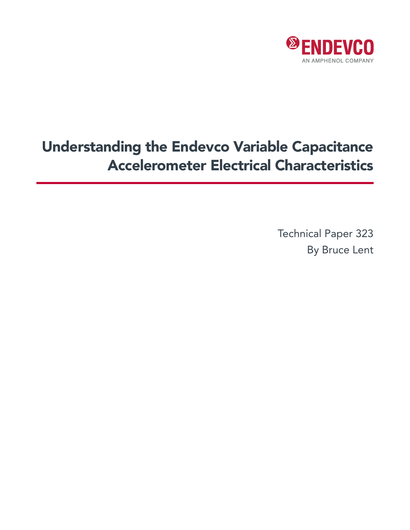

# Understanding the Endevco Variable Capacitance Accelerometer Electrical Characteristics

Technical Paper 323 By Bruce Lent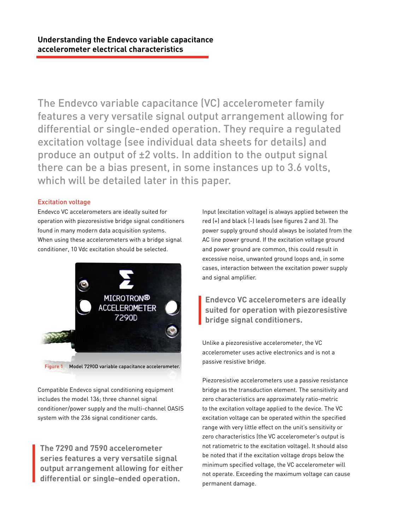The Endevco variable capacitance (VC) accelerometer family features a very versatile signal output arrangement allowing for differential or single-ended operation. They require a regulated excitation voltage (see individual data sheets for details) and produce an output of ±2 volts. In addition to the output signal there can be a bias present, in some instances up to 3.6 volts, which will be detailed later in this paper.

# Excitation voltage

Endevco VC accelerometers are ideally suited for operation with piezoresistive bridge signal conditioners found in many modern data acquisition systems. When using these accelerometers with a bridge signal conditioner, 10 Vdc excitation should be selected.



Compatible Endevco signal conditioning equipment includes the model 136; three channel signal conditioner/power supply and the multi-channel OASIS system with the 236 signal conditioner cards.

**The 7290 and 7590 accelerometer series features a very versatile signal output arrangement allowing for either differential or single-ended operation.**

Input (excitation voltage) is always applied between the red (+) and black (-) leads (see figures 2 and 3). The power supply ground should always be isolated from the AC line power ground. If the excitation voltage ground and power ground are common, this could result in excessive noise, unwanted ground loops and, in some cases, interaction between the excitation power supply and signal amplifier.

# **Endevco VC accelerometers are ideally suited for operation with piezoresistive bridge signal conditioners.**

Unlike a piezoresistive accelerometer, the VC accelerometer uses active electronics and is not a passive resistive bridge.

Piezoresistive accelerometers use a passive resistance bridge as the transduction element. The sensitivity and zero characteristics are approximately ratio-metric to the excitation voltage applied to the device. The VC excitation voltage can be operated within the specified range with very little effect on the unit's sensitivity or zero characteristics (the VC accelerometer's output is not ratiometric to the excitation voltage). It should also be noted that if the excitation voltage drops below the minimum specified voltage, the VC accelerometer will not operate. Exceeding the maximum voltage can cause permanent damage.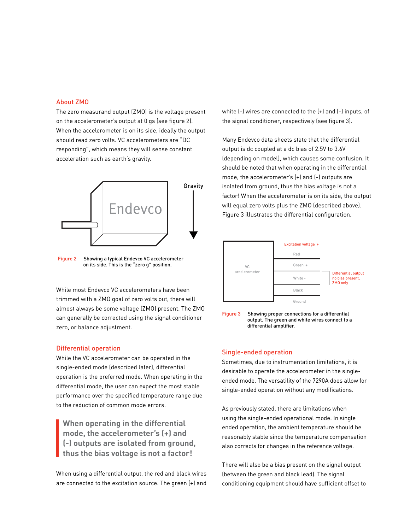#### About ZMO

The zero measurand output (ZMO) is the voltage present on the accelerometer's output at 0 gs (see figure 2). When the accelerometer is on its side, ideally the output should read zero volts. VC accelerometers are "DC responding", which means they will sense constant acceleration such as earth's gravity.



Figure 2 Showing a typical Endevco VC accelerometer on its side. This is the "zero g" position.

While most Endevco VC accelerometers have been trimmed with a ZMO goal of zero volts out, there will almost always be some voltage (ZMO) present. The ZMO can generally be corrected using the signal conditioner zero, or balance adjustment.

#### Differential operation

While the VC accelerometer can be operated in the single-ended mode (described later), differential operation is the preferred mode. When operating in the differential mode, the user can expect the most stable performance over the specified temperature range due to the reduction of common mode errors.

**When operating in the differential mode, the accelerometer's (+) and (-) outputs are isolated from ground, thus the bias voltage is not a factor!**

When using a differential output, the red and black wires are connected to the excitation source. The green (+) and white (-) wires are connected to the (+) and (-) inputs, of the signal conditioner, respectively (see figure 3).

Many Endevco data sheets state that the differential output is dc coupled at a dc bias of 2.5V to 3.6V (depending on model), which causes some confusion. It should be noted that when operating in the differential mode, the accelerometer's (+) and (-) outputs are isolated from ground, thus the bias voltage is not a factor! When the accelerometer is on its side, the output will equal zero volts plus the ZMO (described above). Figure 3 illustrates the differential configuration.





#### Single-ended operation

Sometimes, due to instrumentation limitations, it is desirable to operate the accelerometer in the singleended mode. The versatility of the 7290A does allow for single-ended operation without any modifications.

As previously stated, there are limitations when using the single-ended operational mode. In single ended operation, the ambient temperature should be reasonably stable since the temperature compensation also corrects for changes in the reference voltage.

There will also be a bias present on the signal output (between the green and black lead). The signal conditioning equipment should have sufficient offset to